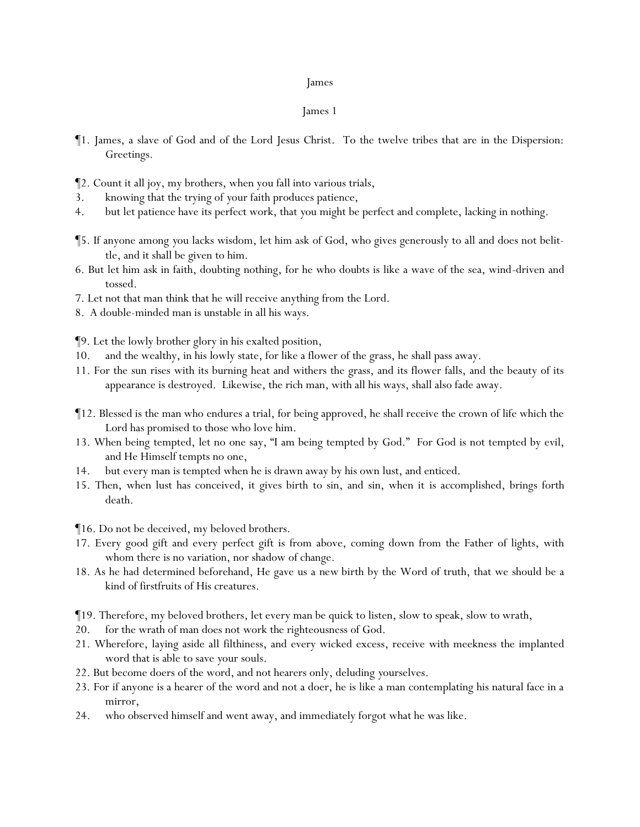# James 1

- ¶1. James, a slave of God and of the Lord Jesus Christ. To the twelve tribes that are in the Dispersion: Greetings.
- ¶2. Count it all joy, my brothers, when you fall into various trials,
- 3. knowing that the trying of *y*our faith produces patience,
- 4. but let patience have its perfect work, that *y*ou might be perfect and complete, lacking in nothing.
- ¶5. If anyone among *y*ou lacks wisdom, let him ask of God, who gives generously to all and does not belittle, and it shall be given to him.
- 6. But let him ask in faith, doubting nothing, for he who doubts is like a wave of the sea, wind-driven and tossed.
- 7. Let not that man think that he will receive anything from the Lord.
- 8. A double-minded man is unstable in all his ways.

¶9. Let the lowly brother glory in his exalted position,

- 10. and the wealthy, in his lowly state, for like a flower of the grass, he shall pass away.
- 11. For the sun rises with its burning heat and withers the grass, and its flower falls, and the beauty of its appearance is destroyed. Likewise, the rich man, with all his ways, shall also fade away.
- ¶12. Blessed is the man who endures a trial, for being approved, he shall receive the crown of life which the Lord has promised to those who love him.
- 13. When being tempted, let no one say, "I am being tempted by God." For God is not tempted by evil, and He Himself tempts no one,
- 14. but every man is tempted when he is drawn away by his own lust, and enticed.
- 15. Then, when lust has conceived, it gives birth to sin, and sin, when it is accomplished, brings forth death.

¶16. Do not be deceived, my beloved brothers.

- 17. Every good gift and every perfect gift is from above, coming down from the Father of lights, with whom there is no variation, nor shadow of change.
- 18. As he had determined beforehand, He gave us *a new* birth by the Word of truth, that we should be a kind of firstfruits of His creatures.
- ¶19. Therefore, my beloved brothers, let every man be quick to listen, slow to speak, slow to wrath,
- 20. for the wrath of man does not work the righteousness of God.
- 21. Wherefore, laying aside all filthiness, and every wicked excess, receive with meekness the implanted word that is able to save *y*our souls.
- 22. But become doers of the word, and not hearers only, deluding *y*ourselves.
- 23. For if anyone is a hearer of the word and not a doer, he is like a man contemplating his natural face in a mirror,
- 24. who observed himself and went away, and immediately forgot what he was like.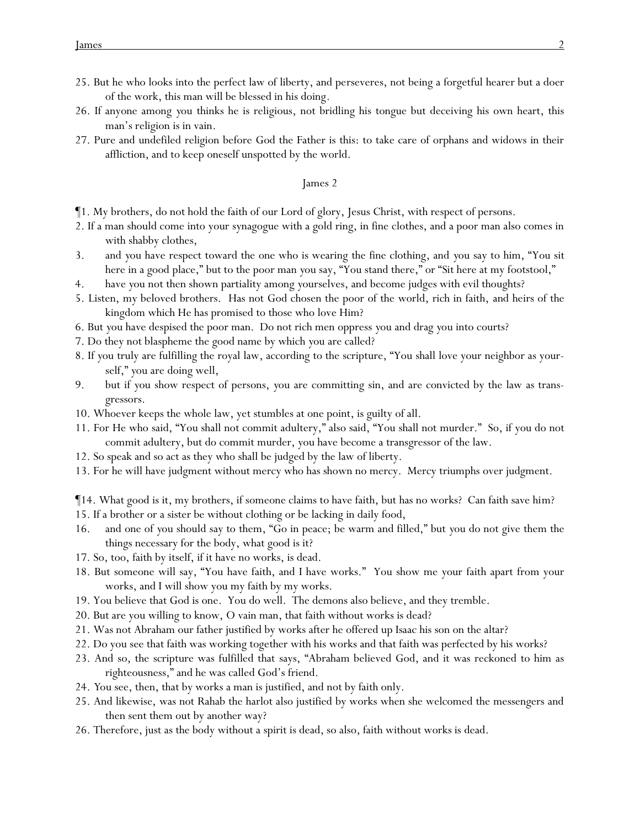- 25. But he who looks into the perfect law of liberty, and perseveres, not being a forgetful hearer but a doer of the work, this man will be blessed in his doing.
- 26. If anyone among *y*ou thinks he is religious, not bridling his tongue but deceiving his own heart, this man's religion is in vain.
- 27. Pure and undefiled religion before God the Father is this: to take care of orphans and widows in their affliction, and to keep oneself unspotted by the world.

- ¶1. My brothers, do not hold the faith of our Lord of glory, Jesus Christ, with respect of persons.
- 2. If a man should come into your synagogue with a gold ring, in fine clothes, and a poor man also comes in with shabby clothes,
- 3. and *y*ou have respect toward the one who is wearing the fine clothing, and *y*ou say to him, "You sit here in a good place," but to the poor man *y*ou say, "You stand there," or "Sit here at my footstool,"
- 4. have *y*ou not then shown partiality among *y*ourselves, and become judges with evil thoughts?
- 5. Listen, my beloved brothers. Has not God chosen the poor of the world, rich in faith, and heirs of the kingdom which He has promised to those who love Him?
- 6. But *y*ou have despised the poor man. Do not rich men oppress *y*ou and drag *y*ou into courts?
- 7. Do they not blaspheme the good name by which *y*ou are called?
- 8. If *y*ou truly are fulfilling the royal law, according to the scripture, "You shall love your neighbor as yourself," *y*ou are doing well,
- 9. but if *y*ou show respect of persons, *y*ou are committing sin, and are convicted by the law as transgressors.
- 10. Whoever keeps the whole law, yet stumbles at one point, is guilty of all.
- 11. For He who said, "You shall not commit adultery," also said, "You shall not murder." So, if you do not commit adultery, but do commit murder, you have become a transgressor of the law.
- 12. So speak and so act as they who shall be judged by the law of liberty.
- 13. For he will have judgment without mercy who has shown no mercy. Mercy triumphs over judgment.

¶14. What good is it, my brothers, if someone claims to have faith, but has no works? Can faith save him?

- 15. If a brother or a sister be without clothing or be lacking in daily food,
- 16. and one of *y*ou should say to them, "Go in peace; be warm and filled," but *y*ou do not give them the things necessary for the body, what good is it?
- 17. So, too, faith by itself, if it have no works, is dead.
- 18. But someone will say, "You have faith, and I have works." You show me your faith apart from your works, and I will show you my faith by my works.
- 19. You believe that God is one. You do well. The demons also believe, and they tremble.
- 20. But are you willing to know, O vain man, that faith without works is dead?
- 21. Was not Abraham our father justified by works after he offered up Isaac his son on the altar?
- 22. Do you see that faith was working together with his works and that faith was perfected by his works?
- 23. And so, the scripture was fulfilled that says, "Abraham believed God, and it was reckoned to him as righteousness," and he was called God's friend.
- 24. *Y*ou see, then, that by works a man is justified, and not by faith only.
- 25. And likewise, was not Rahab the harlot also justified by works when she welcomed the messengers and then sent them out by another way?
- 26. Therefore, just as the body without a spirit is dead, so also, faith without works is dead.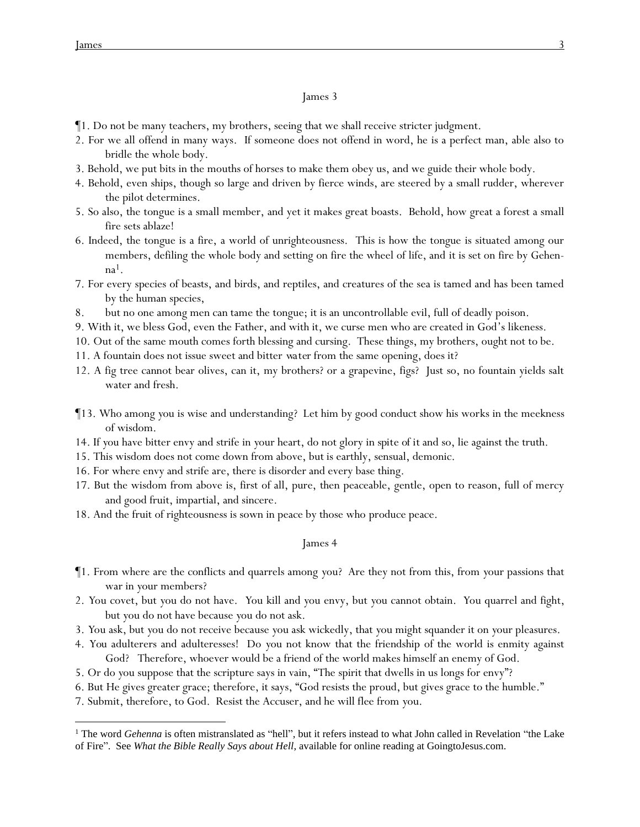- ¶1. Do not be many teachers, my brothers, seeing that we shall receive stricter judgment.
- 2. For we all offend in many ways. If someone does not offend in word, he is a perfect man, able also to bridle the whole body.
- 3. Behold, we put bits in the mouths of horses to make them obey us, and we guide their whole body.
- 4. Behold, even ships, though so large and driven by fierce winds, are steered by a small rudder, wherever the pilot determines.
- 5. So also, the tongue is a small member, and yet it makes great boasts. Behold, how great a forest a small fire sets ablaze!
- 6. Indeed, the tongue is a fire, a world of unrighteousness. This is how the tongue is situated among our members, defiling the whole body and setting on fire the wheel of life, and it is set on fire by Gehenna1.
- 7. For every species of beasts, and birds, and reptiles, and creatures of the sea is tamed and has been tamed by the human species,
- 8. but no one among men can tame the tongue; it is an uncontrollable evil, full of deadly poison.
- 9. With it, we bless God, even the Father, and with it, we curse men who are created in God's likeness.
- 10. Out of the same mouth comes forth blessing and cursing. These things, my brothers, ought not to be.
- 11. A fountain does not issue sweet and bitter *water* from the same opening, does it?
- 12. A fig tree cannot bear olives, can it, my brothers? or a grapevine, figs? Just so, no fountain yields salt water and fresh.
- ¶13. Who among *y*ou is wise and understanding? Let him by good conduct show his works in the meekness of wisdom.
- 14. If *y*ou have bitter envy and strife in *y*our heart, do not glory *in spite of it* and so, lie against the truth.
- 15. This wisdom does not come down from above, but is earthly, sensual, demonic.
- 16. For where envy and strife are, there is disorder and every base thing.
- 17. But the wisdom from above is, first of all, pure, then peaceable, gentle, open to reason, full of mercy and good fruit, impartial, and sincere.
- 18. And the fruit of righteousness is sown in peace by those who produce peace.

## James 4

- ¶1. From where are the conflicts and quarrels among *y*ou? Are they not from this, from *y*our passions that war in *y*our members?
- 2. *Y*ou covet, but *y*ou do not have. *Y*ou kill and *y*ou envy, but *y*ou cannot obtain. *Y*ou quarrel and fight, *but y*ou do not have because *y*ou do not ask.
- 3. *Y*ou ask, but *y*ou do not receive because *y*ou ask wickedly, that *y*ou might squander it on *y*our pleasures.
- 4. *You* adulterers and adulteresses! Do *y*ou not know that the friendship of the world is enmity against God? Therefore, whoever would be a friend of the world makes himself an enemy of God.
- 5. Or do *y*ou suppose that the scripture says in vain, "The spirit that dwells in us longs for envy"?
- 6. But He gives greater grace; therefore, it says, "God resists the proud, but gives grace to the humble."
- 7. Submit, therefore, to God. Resist the Accuser, and he will flee from *y*ou.

<sup>&</sup>lt;sup>1</sup> The word *Gehenna* is often mistranslated as "hell", but it refers instead to what John called in Revelation "the Lake of Fire". See *What the Bible Really Says about Hell*, available for online reading at GoingtoJesus.com.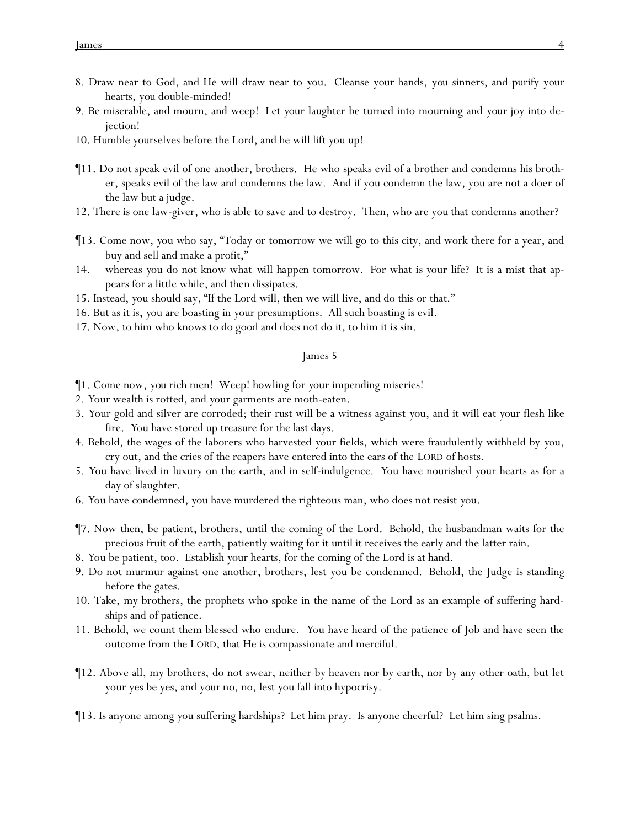- 8. Draw near to God, and He will draw near to *y*ou. Cleanse *your* hands, *you* sinners, and purify *your* hearts, *you* double-minded!
- 9. Be miserable, and mourn, and weep! Let *y*our laughter be turned into mourning and *your* joy into dejection!
- 10. Humble *y*ourselves before the Lord, and he will lift *y*ou up!
- ¶11. Do not speak evil of one another, brothers. He who speaks evil of a brother and condemns his brother, speaks evil of the law and condemns the law. And if you condemn the law, you are not a doer of the law but a judge.
- 12. There is one law-giver, who is able to save and to destroy. Then, who are you that condemns another?
- ¶13. Come now, *y*ou who say, "Today or tomorrow we will go to this city, and work there for a year, and buy and sell and make a profit,"
- 14. whereas *y*ou do not know what *will happen* tomorrow. For what *is y*our life? It is a mist that appears for a little while, and then dissipates.
- 15. Instead, *y*ou should say, "If the Lord will, then we will live, and do this or that."
- 16. But as it is, *y*ou are boasting in *y*our presumptions. All such boasting is evil.
- 17. Now, to him who knows to do good and does not do it, to him it is sin.

- ¶1. Come now, *you* rich men! Weep! howling for *y*our impending miseries!
- 2. *Y*our wealth is rotted, and *y*our garments are moth-eaten.
- 3. *Y*our gold and silver are corroded; their rust will be a witness against *y*ou, and it will eat *y*our flesh like fire. *Y*ou have stored up treasure for the last days.
- 4. Behold, the wages of the laborers who harvested *y*our fields, which were fraudulently withheld by *y*ou, cry out, and the cries of the reapers have entered into the ears of the LORD of hosts.
- 5. *Y*ou have lived in luxury on the earth, and in self-indulgence. *Y*ou have nourished *y*our hearts as for a day of slaughter.
- 6. *Y*ou have condemned, *y*ou have murdered the righteous man, who does not resist *y*ou.
- ¶7. Now then, be patient, brothers, until the coming of the Lord. Behold, the husbandman waits for the precious fruit of the earth, patiently waiting for it until it receives the early and the latter rain.
- 8. *Y*ou be patient, too. Establish *y*our hearts, for the coming of the Lord is at hand.
- 9. Do not murmur against one another, brothers, lest *y*ou be condemned. Behold, the Judge is standing before the gates.
- 10. Take, my brothers, the prophets who spoke in the name of the Lord as an example of suffering hardships and of patience.
- 11. Behold, we count them blessed who endure. *Y*ou have heard of the patience of Job and have seen the outcome from the LORD, that He is compassionate and merciful.
- ¶12. Above all, my brothers, do not swear, neither by heaven nor by earth, nor by any other oath, but let *y*our yes be yes, and *your* no, no, lest *y*ou fall into hypocrisy.
- ¶13. Is anyone among *y*ou suffering hardships? Let him pray. Is anyone cheerful? Let him sing psalms.